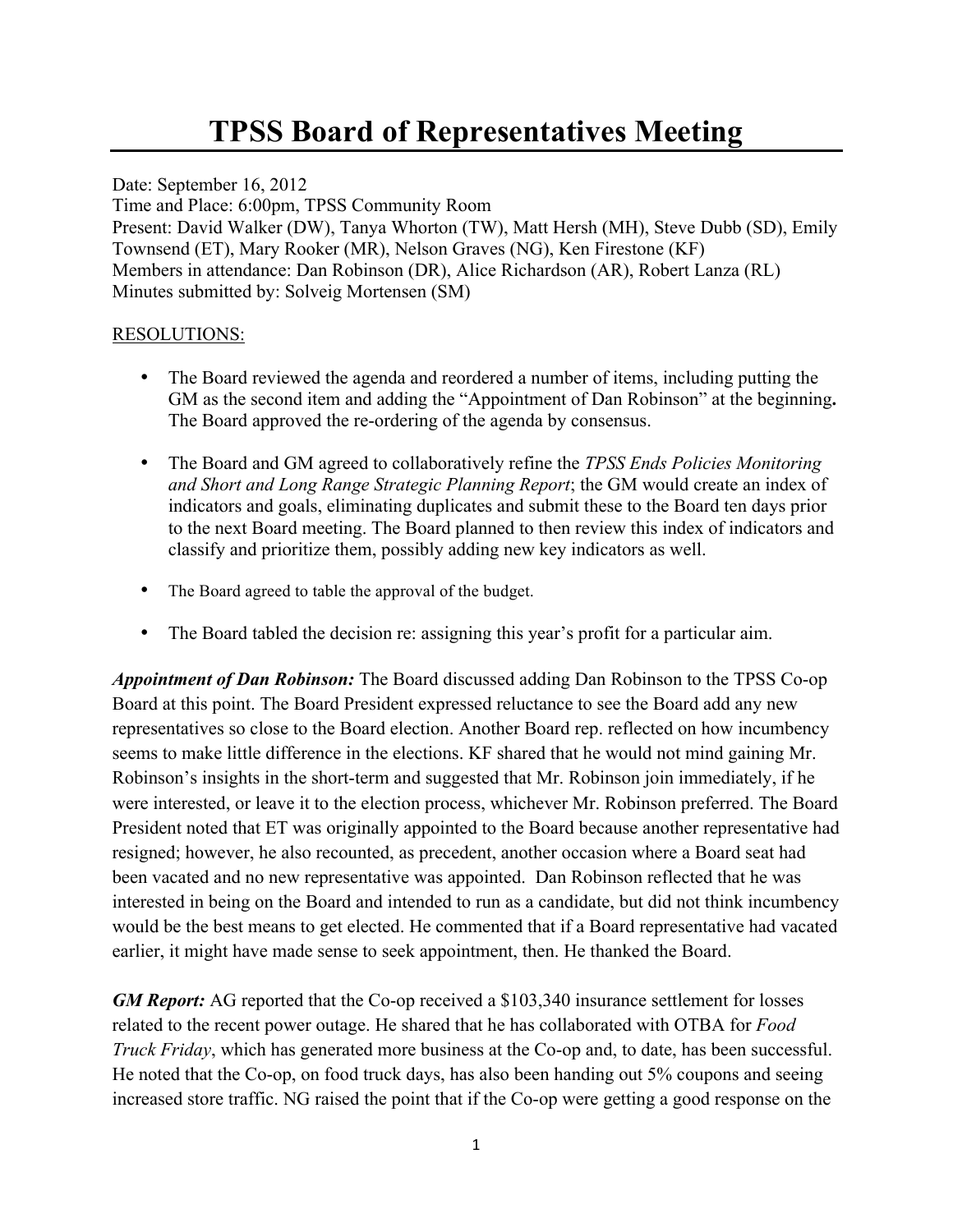## **TPSS Board of Representatives Meeting**

Date: September 16, 2012 Time and Place: 6:00pm, TPSS Community Room Present: David Walker (DW), Tanya Whorton (TW), Matt Hersh (MH), Steve Dubb (SD), Emily Townsend (ET), Mary Rooker (MR), Nelson Graves (NG), Ken Firestone (KF) Members in attendance: Dan Robinson (DR), Alice Richardson (AR), Robert Lanza (RL) Minutes submitted by: Solveig Mortensen (SM)

## RESOLUTIONS:

- The Board reviewed the agenda and reordered a number of items, including putting the GM as the second item and adding the "Appointment of Dan Robinson" at the beginning**.** The Board approved the re-ordering of the agenda by consensus.
- The Board and GM agreed to collaboratively refine the *TPSS Ends Policies Monitoring and Short and Long Range Strategic Planning Report*; the GM would create an index of indicators and goals, eliminating duplicates and submit these to the Board ten days prior to the next Board meeting. The Board planned to then review this index of indicators and classify and prioritize them, possibly adding new key indicators as well.
- The Board agreed to table the approval of the budget.
- The Board tabled the decision re: assigning this year's profit for a particular aim.

*Appointment of Dan Robinson:* The Board discussed adding Dan Robinson to the TPSS Co-op Board at this point. The Board President expressed reluctance to see the Board add any new representatives so close to the Board election. Another Board rep. reflected on how incumbency seems to make little difference in the elections. KF shared that he would not mind gaining Mr. Robinson's insights in the short-term and suggested that Mr. Robinson join immediately, if he were interested, or leave it to the election process, whichever Mr. Robinson preferred. The Board President noted that ET was originally appointed to the Board because another representative had resigned; however, he also recounted, as precedent, another occasion where a Board seat had been vacated and no new representative was appointed. Dan Robinson reflected that he was interested in being on the Board and intended to run as a candidate, but did not think incumbency would be the best means to get elected. He commented that if a Board representative had vacated earlier, it might have made sense to seek appointment, then. He thanked the Board.

*GM Report:* AG reported that the Co-op received a \$103,340 insurance settlement for losses related to the recent power outage. He shared that he has collaborated with OTBA for *Food Truck Friday*, which has generated more business at the Co-op and, to date, has been successful. He noted that the Co-op, on food truck days, has also been handing out 5% coupons and seeing increased store traffic. NG raised the point that if the Co-op were getting a good response on the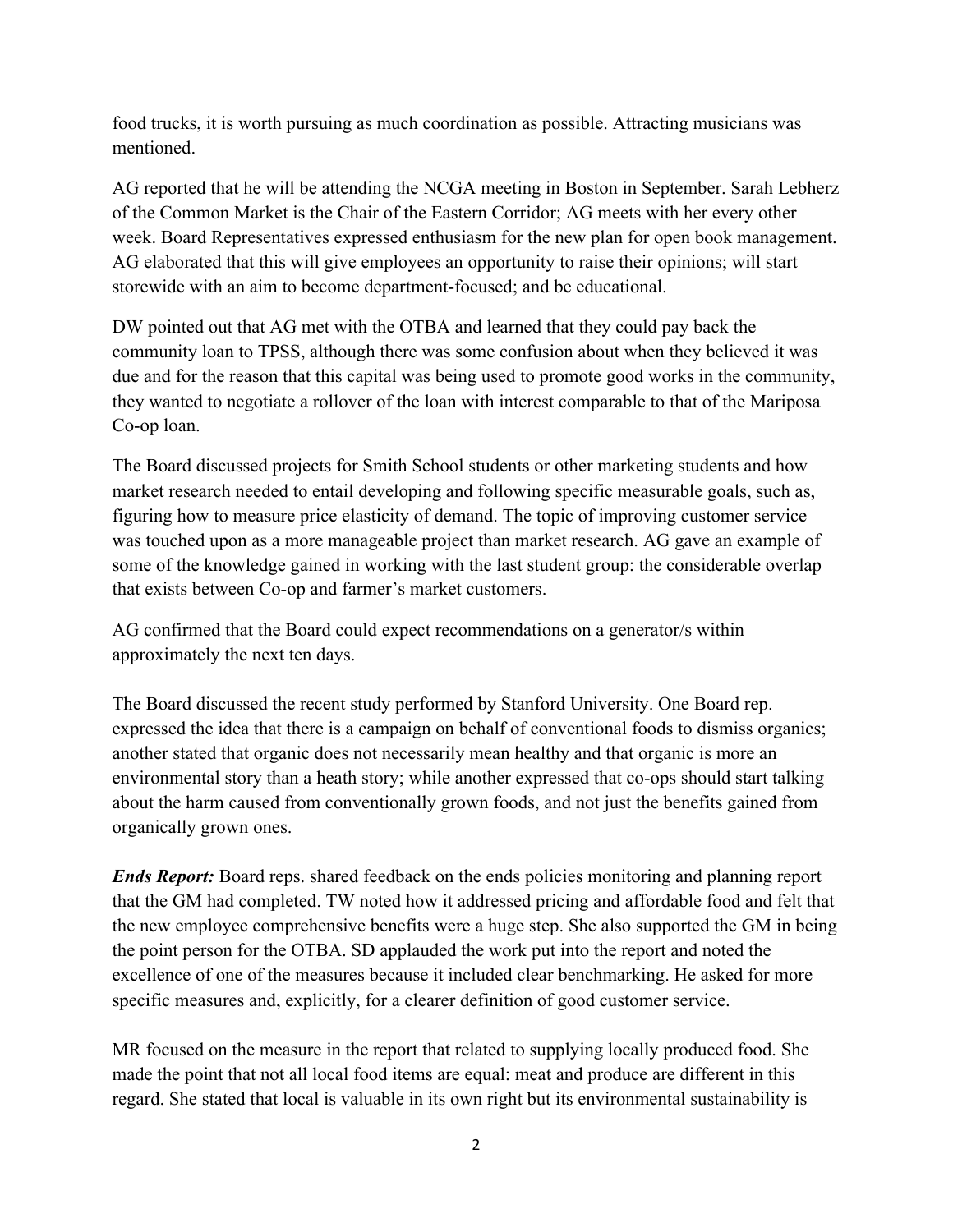food trucks, it is worth pursuing as much coordination as possible. Attracting musicians was mentioned.

AG reported that he will be attending the NCGA meeting in Boston in September. Sarah Lebherz of the Common Market is the Chair of the Eastern Corridor; AG meets with her every other week. Board Representatives expressed enthusiasm for the new plan for open book management. AG elaborated that this will give employees an opportunity to raise their opinions; will start storewide with an aim to become department-focused; and be educational.

DW pointed out that AG met with the OTBA and learned that they could pay back the community loan to TPSS, although there was some confusion about when they believed it was due and for the reason that this capital was being used to promote good works in the community, they wanted to negotiate a rollover of the loan with interest comparable to that of the Mariposa Co-op loan.

The Board discussed projects for Smith School students or other marketing students and how market research needed to entail developing and following specific measurable goals, such as, figuring how to measure price elasticity of demand. The topic of improving customer service was touched upon as a more manageable project than market research. AG gave an example of some of the knowledge gained in working with the last student group: the considerable overlap that exists between Co-op and farmer's market customers.

AG confirmed that the Board could expect recommendations on a generator/s within approximately the next ten days.

The Board discussed the recent study performed by Stanford University. One Board rep. expressed the idea that there is a campaign on behalf of conventional foods to dismiss organics; another stated that organic does not necessarily mean healthy and that organic is more an environmental story than a heath story; while another expressed that co-ops should start talking about the harm caused from conventionally grown foods, and not just the benefits gained from organically grown ones.

*Ends Report:* Board reps. shared feedback on the ends policies monitoring and planning report that the GM had completed. TW noted how it addressed pricing and affordable food and felt that the new employee comprehensive benefits were a huge step. She also supported the GM in being the point person for the OTBA. SD applauded the work put into the report and noted the excellence of one of the measures because it included clear benchmarking. He asked for more specific measures and, explicitly, for a clearer definition of good customer service.

MR focused on the measure in the report that related to supplying locally produced food. She made the point that not all local food items are equal: meat and produce are different in this regard. She stated that local is valuable in its own right but its environmental sustainability is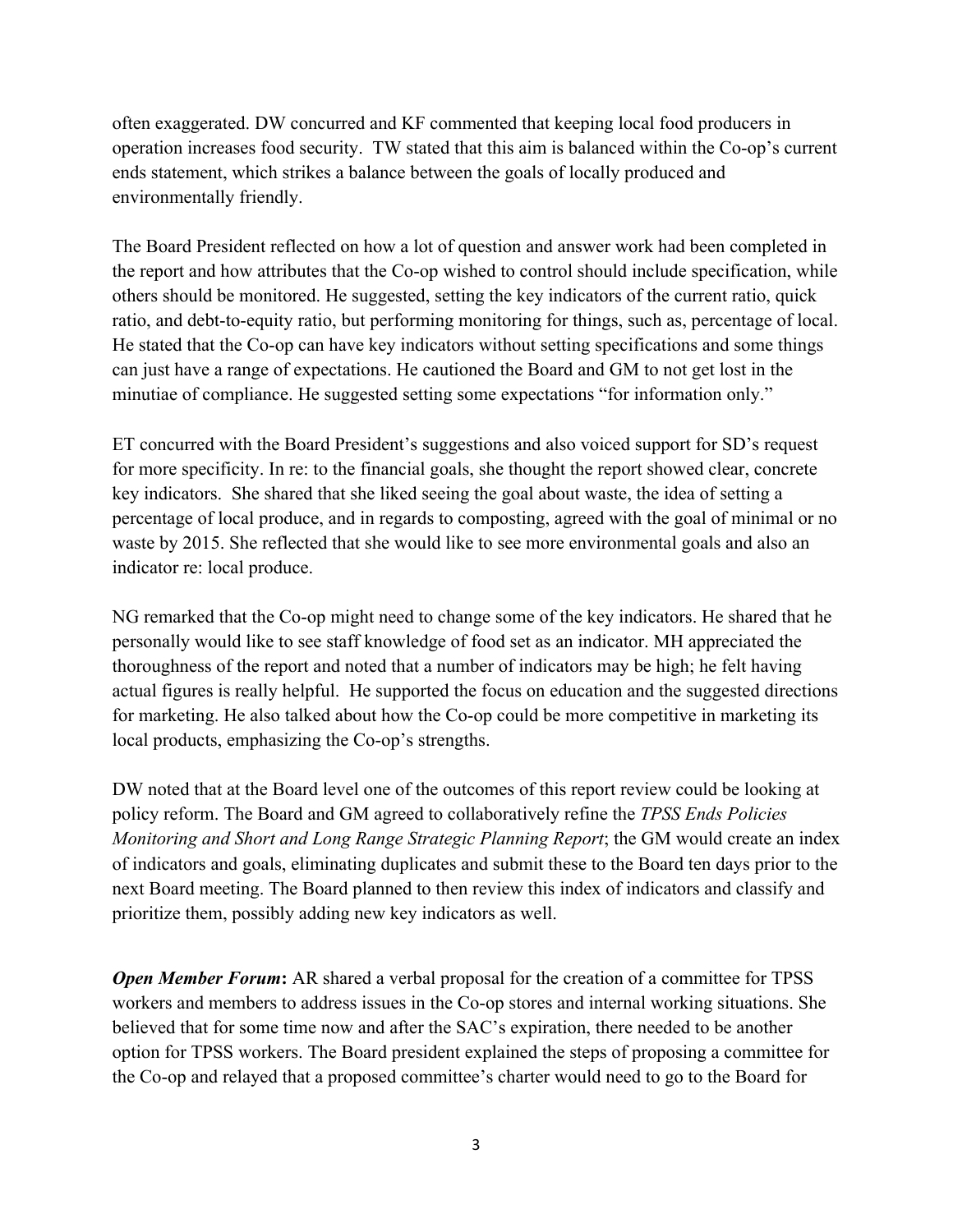often exaggerated. DW concurred and KF commented that keeping local food producers in operation increases food security. TW stated that this aim is balanced within the Co-op's current ends statement, which strikes a balance between the goals of locally produced and environmentally friendly.

The Board President reflected on how a lot of question and answer work had been completed in the report and how attributes that the Co-op wished to control should include specification, while others should be monitored. He suggested, setting the key indicators of the current ratio, quick ratio, and debt-to-equity ratio, but performing monitoring for things, such as, percentage of local. He stated that the Co-op can have key indicators without setting specifications and some things can just have a range of expectations. He cautioned the Board and GM to not get lost in the minutiae of compliance. He suggested setting some expectations "for information only."

ET concurred with the Board President's suggestions and also voiced support for SD's request for more specificity. In re: to the financial goals, she thought the report showed clear, concrete key indicators. She shared that she liked seeing the goal about waste, the idea of setting a percentage of local produce, and in regards to composting, agreed with the goal of minimal or no waste by 2015. She reflected that she would like to see more environmental goals and also an indicator re: local produce.

NG remarked that the Co-op might need to change some of the key indicators. He shared that he personally would like to see staff knowledge of food set as an indicator. MH appreciated the thoroughness of the report and noted that a number of indicators may be high; he felt having actual figures is really helpful. He supported the focus on education and the suggested directions for marketing. He also talked about how the Co-op could be more competitive in marketing its local products, emphasizing the Co-op's strengths.

DW noted that at the Board level one of the outcomes of this report review could be looking at policy reform. The Board and GM agreed to collaboratively refine the *TPSS Ends Policies Monitoring and Short and Long Range Strategic Planning Report*; the GM would create an index of indicators and goals, eliminating duplicates and submit these to the Board ten days prior to the next Board meeting. The Board planned to then review this index of indicators and classify and prioritize them, possibly adding new key indicators as well.

*Open Member Forum*: AR shared a verbal proposal for the creation of a committee for TPSS workers and members to address issues in the Co-op stores and internal working situations. She believed that for some time now and after the SAC's expiration, there needed to be another option for TPSS workers. The Board president explained the steps of proposing a committee for the Co-op and relayed that a proposed committee's charter would need to go to the Board for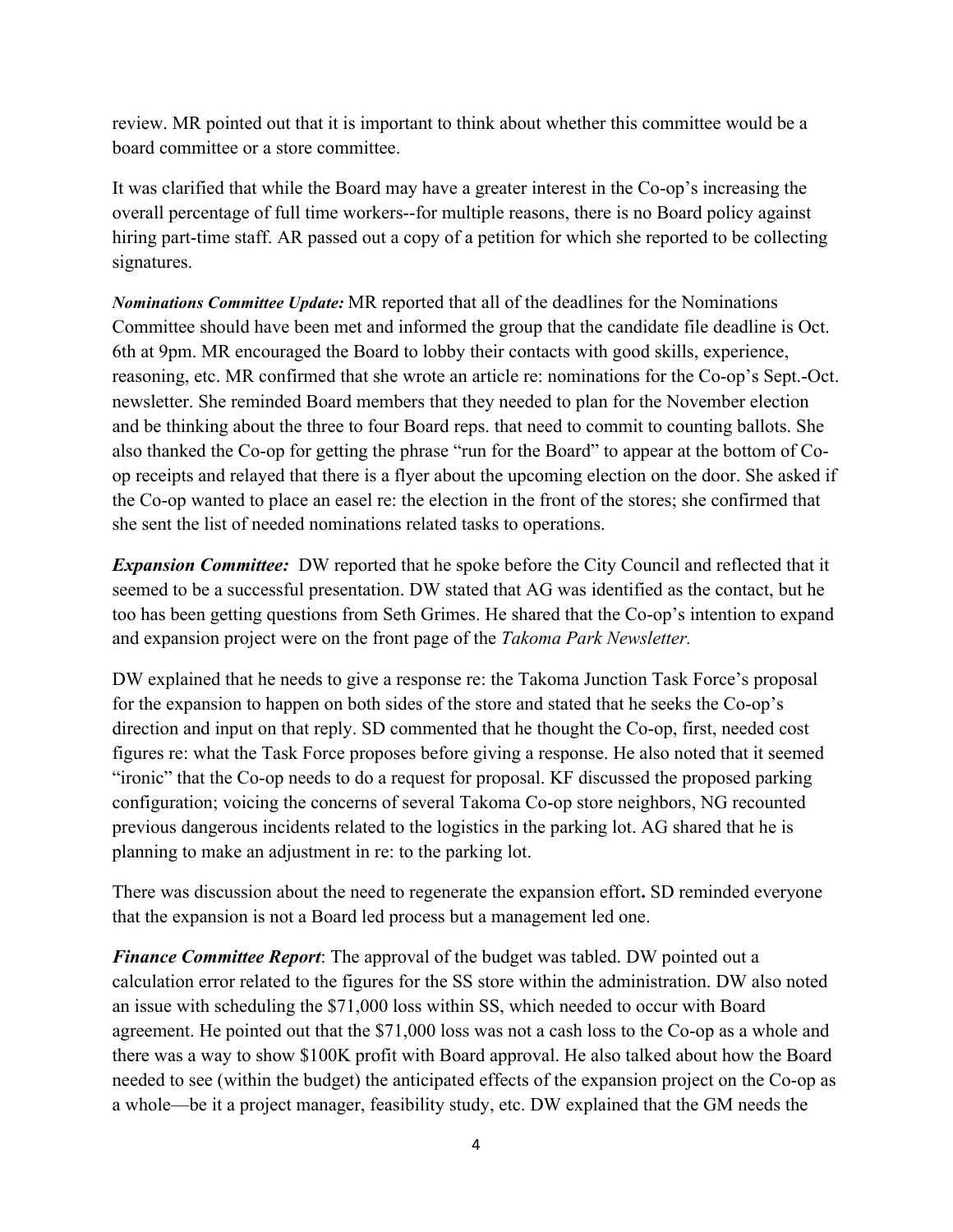review. MR pointed out that it is important to think about whether this committee would be a board committee or a store committee.

It was clarified that while the Board may have a greater interest in the Co-op's increasing the overall percentage of full time workers--for multiple reasons, there is no Board policy against hiring part-time staff. AR passed out a copy of a petition for which she reported to be collecting signatures.

*Nominations Committee Update:* MR reported that all of the deadlines for the Nominations Committee should have been met and informed the group that the candidate file deadline is Oct. 6th at 9pm. MR encouraged the Board to lobby their contacts with good skills, experience, reasoning, etc. MR confirmed that she wrote an article re: nominations for the Co-op's Sept.-Oct. newsletter. She reminded Board members that they needed to plan for the November election and be thinking about the three to four Board reps. that need to commit to counting ballots. She also thanked the Co-op for getting the phrase "run for the Board" to appear at the bottom of Coop receipts and relayed that there is a flyer about the upcoming election on the door. She asked if the Co-op wanted to place an easel re: the election in the front of the stores; she confirmed that she sent the list of needed nominations related tasks to operations.

*Expansion Committee:* DW reported that he spoke before the City Council and reflected that it seemed to be a successful presentation. DW stated that AG was identified as the contact, but he too has been getting questions from Seth Grimes. He shared that the Co-op's intention to expand and expansion project were on the front page of the *Takoma Park Newsletter.*

DW explained that he needs to give a response re: the Takoma Junction Task Force's proposal for the expansion to happen on both sides of the store and stated that he seeks the Co-op's direction and input on that reply. SD commented that he thought the Co-op, first, needed cost figures re: what the Task Force proposes before giving a response. He also noted that it seemed "ironic" that the Co-op needs to do a request for proposal. KF discussed the proposed parking configuration; voicing the concerns of several Takoma Co-op store neighbors, NG recounted previous dangerous incidents related to the logistics in the parking lot. AG shared that he is planning to make an adjustment in re: to the parking lot.

There was discussion about the need to regenerate the expansion effort**.** SD reminded everyone that the expansion is not a Board led process but a management led one.

*Finance Committee Report*: The approval of the budget was tabled. DW pointed out a calculation error related to the figures for the SS store within the administration. DW also noted an issue with scheduling the \$71,000 loss within SS, which needed to occur with Board agreement. He pointed out that the \$71,000 loss was not a cash loss to the Co-op as a whole and there was a way to show \$100K profit with Board approval. He also talked about how the Board needed to see (within the budget) the anticipated effects of the expansion project on the Co-op as a whole—be it a project manager, feasibility study, etc. DW explained that the GM needs the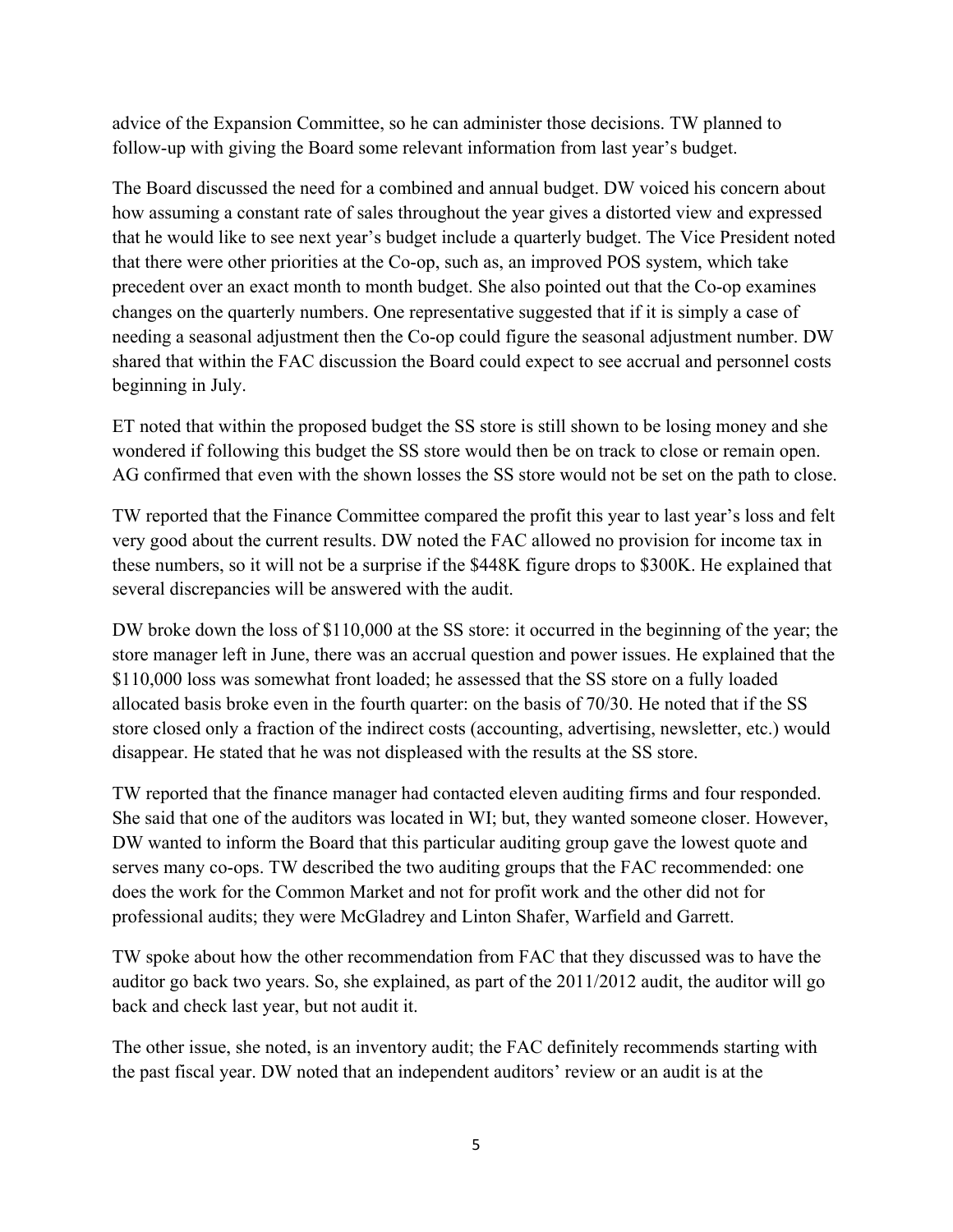advice of the Expansion Committee, so he can administer those decisions. TW planned to follow-up with giving the Board some relevant information from last year's budget.

The Board discussed the need for a combined and annual budget. DW voiced his concern about how assuming a constant rate of sales throughout the year gives a distorted view and expressed that he would like to see next year's budget include a quarterly budget. The Vice President noted that there were other priorities at the Co-op, such as, an improved POS system, which take precedent over an exact month to month budget. She also pointed out that the Co-op examines changes on the quarterly numbers. One representative suggested that if it is simply a case of needing a seasonal adjustment then the Co-op could figure the seasonal adjustment number. DW shared that within the FAC discussion the Board could expect to see accrual and personnel costs beginning in July.

ET noted that within the proposed budget the SS store is still shown to be losing money and she wondered if following this budget the SS store would then be on track to close or remain open. AG confirmed that even with the shown losses the SS store would not be set on the path to close.

TW reported that the Finance Committee compared the profit this year to last year's loss and felt very good about the current results. DW noted the FAC allowed no provision for income tax in these numbers, so it will not be a surprise if the \$448K figure drops to \$300K. He explained that several discrepancies will be answered with the audit.

DW broke down the loss of \$110,000 at the SS store: it occurred in the beginning of the year; the store manager left in June, there was an accrual question and power issues. He explained that the \$110,000 loss was somewhat front loaded; he assessed that the SS store on a fully loaded allocated basis broke even in the fourth quarter: on the basis of 70/30. He noted that if the SS store closed only a fraction of the indirect costs (accounting, advertising, newsletter, etc.) would disappear. He stated that he was not displeased with the results at the SS store.

TW reported that the finance manager had contacted eleven auditing firms and four responded. She said that one of the auditors was located in WI; but, they wanted someone closer. However, DW wanted to inform the Board that this particular auditing group gave the lowest quote and serves many co-ops. TW described the two auditing groups that the FAC recommended: one does the work for the Common Market and not for profit work and the other did not for professional audits; they were McGladrey and Linton Shafer, Warfield and Garrett.

TW spoke about how the other recommendation from FAC that they discussed was to have the auditor go back two years. So, she explained, as part of the 2011/2012 audit, the auditor will go back and check last year, but not audit it.

The other issue, she noted, is an inventory audit; the FAC definitely recommends starting with the past fiscal year. DW noted that an independent auditors' review or an audit is at the